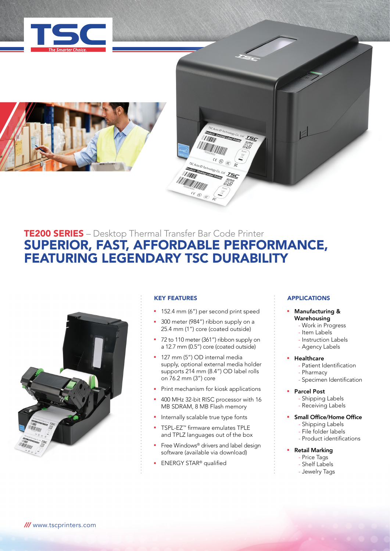





# TE200 SERIES – Desktop Thermal Transfer Bar Code Printer SUPERIOR, FAST, AFFORDABLE PERFORMANCE, FEATURING LEGENDARY TSC DURABILITY



## KEY FEATURES

- 152.4 mm (6") per second print speed
- **300** meter (984") ribbon supply on a 25.4 mm (1") core (coated outside)
- 72 to 110 meter (361") ribbon supply on a 12.7 mm (0.5") core (coated outside)
- **127 mm (5") OD internal media** supply, optional external media holder supports 214 mm (8.4") OD label rolls on 76.2 mm (3") core
- Print mechanism for kiosk applications
- **400 MHz 32-bit RISC processor with 16** MB SDRAM, 8 MB Flash memory
- Internally scalable true type fonts
- TSPL-EZ<sup>™</sup> firmware emulates TPLE and TPLZ languages out of the box
- Free Windows® drivers and label design software (available via download)
- <sup>n</sup> ENERGY STAR® qualified

### **APPLICATIONS**

### Manufacturing & Warehousing

- Work in Progress
- Item Labels
- Instruction Labels
- Agency Labels

### **Healthcare**

- Patient Identification
- Pharmacy
- Specimen Identification
- **Parcel Post**  - Shipping Labels
	- Receiving Labels
- Small Office/Home Office
	- Shipping Labels
	- File folder labels - Product identifications
	-

# **Retail Marking**

- Price Tags - Shelf Labels
- Jewelry Tags